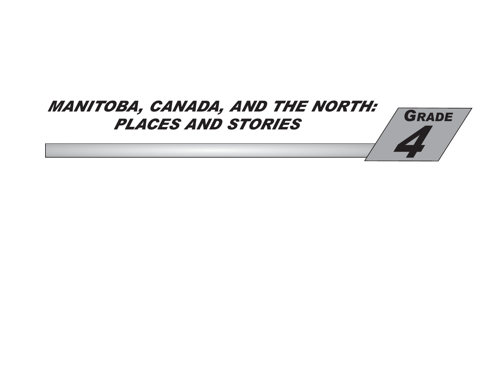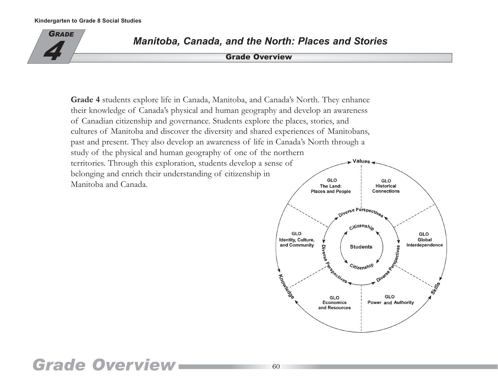

*Manitoba, Canada, and the North: Places and Stories*<br>**4** Grade Overview

**Grade 4** students explore life in Canada, Manitoba, and Canada's North. They enhance their knowledge of Canada's physical and human geography and develop an awareness of Canadian citizenship and governance. Students explore the places, stories, and cultures of Manitoba and discover the diversity and shared experiences of Manitobans, past and present. They also develop an awareness of life in Canada's North through a study of the physical and human geography of one of the northern territories. Through this exploration, students develop a sense of Values belonging and enrich their understanding of citizenship in GLO Manitoba and Canada. The Land:



## *Grade Overview*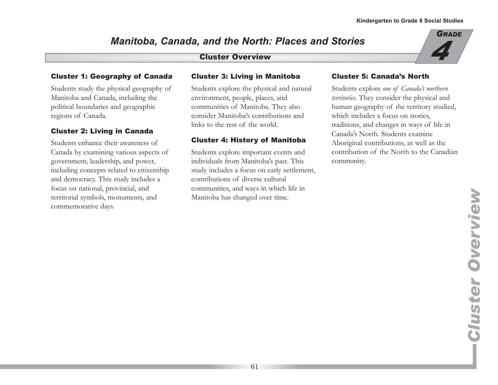# *Manitoba, Canada, and the North: Places and Stories*  Cluster Overview *4*



#### Cluster 1: Geography of Canada

Students study the physical geography of Manitoba and Canada, including the political boundaries and geographic regions of Canada.

#### Cluster 2: Living in Canada

Students enhance their awareness of Canada by examining various aspects of government, leadership, and power, including concepts related to citizenship and democracy. This study includes a focus on national, provincial, and territorial symbols, monuments, and commemorative days.

#### Cluster 3: Living in Manitoba

Students explore the physical and natural environment, people, places, and communities of Manitoba. They also consider Manitoba's contributions and links to the rest of the world.

#### Cluster 4: History of Manitoba

Students explore important events and individuals from Manitoba's past. This study includes a focus on early settlement, contributions of diverse cultural communities, and ways in which life in Manitoba has changed over time.

#### Cluster 5: Canada's North

Students explore *one of Canada's northern territories.* They consider the physical and human geography of the territory studied, which includes a focus on stories, traditions, and changes in ways of life in Canada's North. Students examine Aboriginal contributions, as well as the contribution of the North to the Canadian community.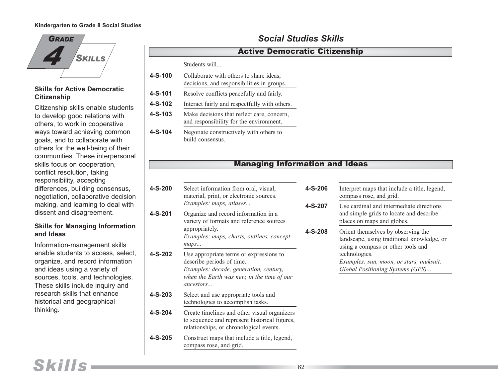

#### **Skills for Active Democratic Citizenship**

Citizenship skills enable students to develop good relations with others, to work in cooperative ways toward achieving common goals, and to collaborate with others for the well-being of their communities. These interpersonal skills focus on cooperation, conflict resolution, taking responsibility, accepting differences, building consensus, negotiation, collaborative decision making, and learning to deal with dissent and disagreement.

#### **Skills for Managing Information and Ideas**

Information-management skills enable students to access, select, organize, and record information and ideas using a variety of sources, tools, and technologies. These skills include inquiry and research skills that enhance historical and geographical thinking.

|                                                     | Students will<br>Collaborate with others to share ideas,<br>decisions, and responsibilities in groups. |  |  |  |
|-----------------------------------------------------|--------------------------------------------------------------------------------------------------------|--|--|--|
| 4-S-100                                             |                                                                                                        |  |  |  |
| 4-S-101<br>Resolve conflicts peacefully and fairly. |                                                                                                        |  |  |  |
| 4-S-102                                             | Interact fairly and respectfully with others.                                                          |  |  |  |
| 4-S-103                                             | Make decisions that reflect care, concern,<br>and responsibility for the environment.                  |  |  |  |
| 4-S-104                                             | Negotiate constructively with others to<br>build consensus.                                            |  |  |  |

### *Social Studies Skills*

#### Active Democratic Citizenship

#### Managing Information and Ideas

| $4-S-200$ | Select information from oral, visual,<br>material, print, or electronic sources.<br>Examples: maps, atlases                                                               | 4-S-2<br>$4-S-2$ |
|-----------|---------------------------------------------------------------------------------------------------------------------------------------------------------------------------|------------------|
| 4-S-201   | Organize and record information in a<br>variety of formats and reference sources<br>appropriately.<br>Examples: maps, charts, outlines, concept<br>maps                   | $4-S-2$          |
| 4-S-202   | Use appropriate terms or expressions to<br>describe periods of time.<br>Examples: decade, generation, century,<br>when the Earth was new, in the time of our<br>ancestors |                  |
| $4-S-203$ | Select and use appropriate tools and<br>technologies to accomplish tasks.                                                                                                 |                  |
| 4-S-204   | Create timelines and other visual organizers<br>to sequence and represent historical figures,<br>relationships, or chronological events.                                  |                  |
| $4-S-205$ | Construct maps that include a title, legend,<br>compass rose, and grid.                                                                                                   |                  |

#### **406** Interpret maps that include a title, legend, compass rose, and grid. **407** Use cardinal and intermediate directions and simple grids to locate and describe places on maps and globes. **408** Orient themselves by observing the landscape, using traditional knowledge, or using a compass or other tools and technologies. *Examples: sun, moon, or stars, inuksuit, Global Positioning Systems (GPS)...*

*Skills*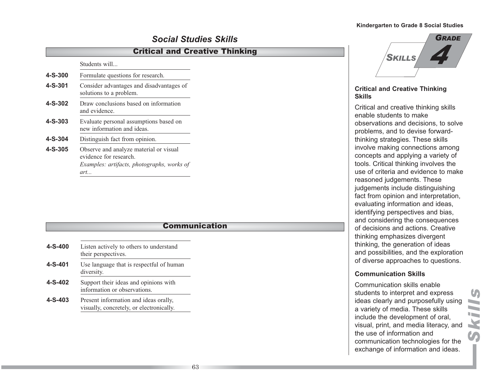### *Social Studies Skills*

#### Critical and Creative Thinking

Students will...

| 4-S-300       | Formulate questions for research.                                                                                     |  |
|---------------|-----------------------------------------------------------------------------------------------------------------------|--|
| $4 - S - 301$ | Consider advantages and disadvantages of<br>solutions to a problem.                                                   |  |
| $4-S-302$     | Draw conclusions based on information<br>and evidence.                                                                |  |
| $4 - S - 303$ | Evaluate personal assumptions based on<br>new information and ideas.                                                  |  |
| $4 - S - 304$ | Distinguish fact from opinion.                                                                                        |  |
| $4-S-305$     | Observe and analyze material or visual<br>evidence for research.<br>Examples: artifacts, photographs, works of<br>art |  |

#### Communication

| $4 - S - 400$ | Listen actively to others to understand<br>their perspectives.                    |
|---------------|-----------------------------------------------------------------------------------|
| $4 - S - 401$ | Use language that is respectful of human<br>diversity.                            |
| $4-S-402$     | Support their ideas and opinions with<br>information or observations.             |
| $4-S-403$     | Present information and ideas orally,<br>visually, concretely, or electronically. |



#### **Critical and Creative Thinking Skills**

Critical and creative thinking skills enable students to make observations and decisions, to solve problems, and to devise forwardthinking strategies. These skills involve making connections among concepts and applying a variety of tools. Critical thinking involves the use of criteria and evidence to make reasoned judgements. These judgements include distinguishing fact from opinion and interpretation, evaluating information and ideas, identifying perspectives and bias, and considering the consequences of decisions and actions. Creative thinking emphasizes divergent thinking, the generation of ideas and possibilities, and the exploration of diverse approaches to questions.

#### **Communication Skills**

Communication skills enable students to interpret and express ideas clearly and purposefully using a variety of media. These skills include the development of oral, visual, print, and media literacy, and the use of information and communication technologies for the exchange of information and ideas.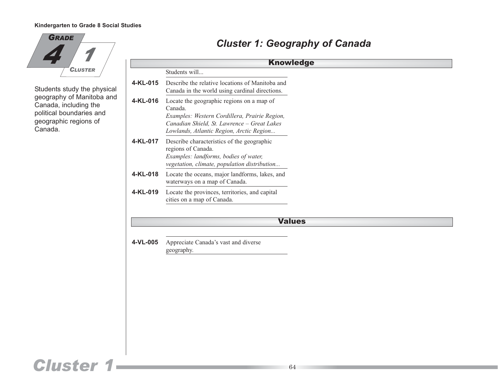

Students study the physical geography of Manitoba and Canada, including the political boundaries and geographic regions of Canada.

## *Cluster 1: Geography of Canada*

| <b>Knowledge</b><br>Students will<br>4-KL-015<br>Describe the relative locations of Manitoba and<br>Canada in the world using cardinal directions.<br>Locate the geographic regions on a map of<br>4-KL-016<br>Canada.<br>Examples: Western Cordillera, Prairie Region,<br>Canadian Shield, St. Lawrence - Great Lakes<br>Lowlands, Atlantic Region, Arctic Region<br>4-KL-017<br>Describe characteristics of the geographic<br>regions of Canada.<br>Examples: landforms, bodies of water,<br>vegetation, climate, population distribution<br>Locate the oceans, major landforms, lakes, and<br>4-KL-018<br>waterways on a map of Canada.<br>4-KL-019<br>Locate the provinces, territories, and capital<br>cities on a map of Canada.<br><b>Values</b><br>4-VL-005<br>Appreciate Canada's vast and diverse | geography. |  |
|-------------------------------------------------------------------------------------------------------------------------------------------------------------------------------------------------------------------------------------------------------------------------------------------------------------------------------------------------------------------------------------------------------------------------------------------------------------------------------------------------------------------------------------------------------------------------------------------------------------------------------------------------------------------------------------------------------------------------------------------------------------------------------------------------------------|------------|--|
|                                                                                                                                                                                                                                                                                                                                                                                                                                                                                                                                                                                                                                                                                                                                                                                                             |            |  |
|                                                                                                                                                                                                                                                                                                                                                                                                                                                                                                                                                                                                                                                                                                                                                                                                             |            |  |
|                                                                                                                                                                                                                                                                                                                                                                                                                                                                                                                                                                                                                                                                                                                                                                                                             |            |  |
|                                                                                                                                                                                                                                                                                                                                                                                                                                                                                                                                                                                                                                                                                                                                                                                                             |            |  |
|                                                                                                                                                                                                                                                                                                                                                                                                                                                                                                                                                                                                                                                                                                                                                                                                             |            |  |
|                                                                                                                                                                                                                                                                                                                                                                                                                                                                                                                                                                                                                                                                                                                                                                                                             |            |  |
|                                                                                                                                                                                                                                                                                                                                                                                                                                                                                                                                                                                                                                                                                                                                                                                                             |            |  |
|                                                                                                                                                                                                                                                                                                                                                                                                                                                                                                                                                                                                                                                                                                                                                                                                             |            |  |
|                                                                                                                                                                                                                                                                                                                                                                                                                                                                                                                                                                                                                                                                                                                                                                                                             |            |  |
|                                                                                                                                                                                                                                                                                                                                                                                                                                                                                                                                                                                                                                                                                                                                                                                                             |            |  |

## *Cluster 1* 64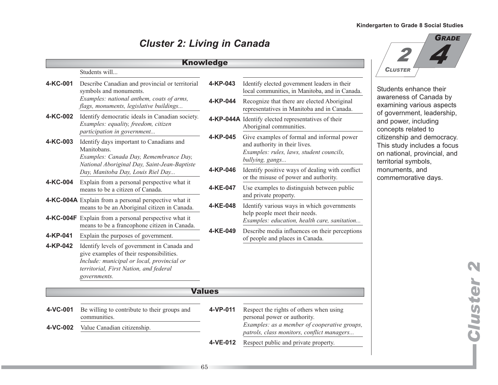## *Cluster 2: Living in Canada*

|          |                                                                                                                                                                                                 | <b>Knowledge</b> |                                                                                                                                            |
|----------|-------------------------------------------------------------------------------------------------------------------------------------------------------------------------------------------------|------------------|--------------------------------------------------------------------------------------------------------------------------------------------|
|          | Students will                                                                                                                                                                                   |                  |                                                                                                                                            |
| 4-KC-001 | Describe Canadian and provincial or territorial<br>symbols and monuments.                                                                                                                       | 4-KP-043         | Identify elected government leaders in their<br>local communities, in Manitoba, and in Canada.                                             |
|          | Examples: national anthem, coats of arms,<br>flags, monuments, legislative buildings                                                                                                            | 4-KP-044         | Recognize that there are elected Aboriginal<br>representatives in Manitoba and in Canada.                                                  |
| 4-KC-002 | Identify democratic ideals in Canadian society.<br>Examples: equality, freedom, citizen<br>participation in government                                                                          |                  | 4-KP-044A Identify elected representatives of their<br>Aboriginal communities.                                                             |
| 4-KC-003 | Identify days important to Canadians and<br>Manitobans.<br>Examples: Canada Day, Remembrance Day,<br>National Aboriginal Day, Saint-Jean-Baptiste                                               | 4-KP-045         | Give examples of formal and informal power<br>and authority in their lives.<br>Examples: rules, laws, student councils,<br>bullying, gangs |
|          | Day, Manitoba Day, Louis Riel Day                                                                                                                                                               | 4-KP-046         | Identify positive ways of dealing with conflict<br>or the misuse of power and authority.                                                   |
| 4-KC-004 | Explain from a personal perspective what it<br>means to be a citizen of Canada.                                                                                                                 | 4-KE-047         | Use examples to distinguish between public<br>and private property.                                                                        |
|          | <b>4-KC-004A</b> Explain from a personal perspective what it<br>means to be an Aboriginal citizen in Canada.                                                                                    | 4-KE-048         | Identify various ways in which governments                                                                                                 |
|          | 4-KC-004F Explain from a personal perspective what it<br>means to be a francophone citizen in Canada.                                                                                           |                  | help people meet their needs.<br>Examples: education, health care, sanitation                                                              |
| 4-KP-041 | Explain the purposes of government.                                                                                                                                                             | 4-KE-049         | Describe media influences on their perceptions<br>of people and places in Canada.                                                          |
| 4-KP-042 | Identify levels of government in Canada and<br>give examples of their responsibilities.<br>Include: municipal or local, provincial or<br>territorial, First Nation, and federal<br>governments. |                  |                                                                                                                                            |
|          |                                                                                                                                                                                                 | <b>Values</b>    |                                                                                                                                            |
| 4-VC-001 | Be willing to contribute to their groups and<br>communities.                                                                                                                                    | 4-VP-011         | Respect the rights of others when using<br>personal power or authority.                                                                    |
| 4-VC-002 | Value Canadian citizenship.                                                                                                                                                                     |                  | Examples: as a member of cooperative groups,<br>patrols, class monitors, conflict managers                                                 |
|          |                                                                                                                                                                                                 | 4-VE-012         | Respect public and private property.                                                                                                       |



nhance their of Canada by various aspects nent, leadership, , including elated to and democracy. includes a focus l, provincial, and ymbols, ts, and rative days.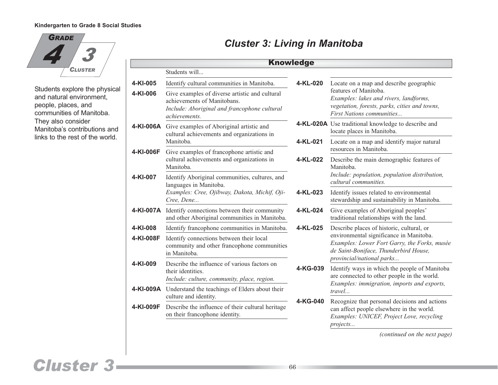

Students explore the physical and natural environment, people, places, and communities of Manitoba. They also consider Manitoba's contributions and links to the rest of the world.

## *Cluster 3: Living in Manitoba*

|           |                                                                                                                                                      | <b>Knowledge</b> |                                                                                                                                                               |
|-----------|------------------------------------------------------------------------------------------------------------------------------------------------------|------------------|---------------------------------------------------------------------------------------------------------------------------------------------------------------|
|           | Students will                                                                                                                                        |                  |                                                                                                                                                               |
| 4-KI-005  | Identify cultural communities in Manitoba.                                                                                                           | 4-KL-020         | Locate on a map and describe geographic                                                                                                                       |
| 4-KI-006  | Give examples of diverse artistic and cultural<br>achievements of Manitobans.<br>Include: Aboriginal and francophone cultural<br><i>achievements</i> |                  | features of Manitoba.<br>Examples: lakes and rivers, landforms,<br>vegetation, forests, parks, cities and towns,<br><b>First Nations communities</b>          |
|           | 4-KI-006A Give examples of Aboriginal artistic and<br>cultural achievements and organizations in                                                     |                  | 4-KL-020A Use traditional knowledge to describe and<br>locate places in Manitoba.                                                                             |
|           | Manitoba.                                                                                                                                            | 4-KL-021         | Locate on a map and identify major natural<br>resources in Manitoba.                                                                                          |
| 4-KI-006F | Give examples of francophone artistic and<br>cultural achievements and organizations in<br>Manitoba.                                                 | 4-KL-022         | Describe the main demographic features of<br>Manitoba.                                                                                                        |
| 4-KI-007  | Identify Aboriginal communities, cultures, and<br>languages in Manitoba.                                                                             |                  | Include: population, population distribution,<br>cultural communities.                                                                                        |
|           | Examples: Cree, Ojibway, Dakota, Michif, Oji-<br>Cree, Dene                                                                                          | 4-KL-023         | Identify issues related to environmental<br>stewardship and sustainability in Manitoba.                                                                       |
| 4-KI-007A | Identify connections between their community<br>and other Aboriginal communities in Manitoba.                                                        | 4-KL-024         | Give examples of Aboriginal peoples'<br>traditional relationships with the land.                                                                              |
| 4-KI-008  | Identify francophone communities in Manitoba.                                                                                                        | 4-KL-025         | Describe places of historic, cultural, or                                                                                                                     |
| 4-KI-008F | Identify connections between their local<br>community and other francophone communities<br>in Manitoba.                                              |                  | environmental significance in Manitoba.<br>Examples: Lower Fort Garry, the Forks, musée<br>de Saint-Boniface, Thunderbird House,<br>provincial/national parks |
| 4-KI-009  | Describe the influence of various factors on<br>their identities.<br>Include: culture, community, place, region.                                     | 4-KG-039         | Identify ways in which the people of Manitoba<br>are connected to other people in the world.<br>Examples: immigration, imports and exports,                   |
| 4-KI-009A | Understand the teachings of Elders about their<br>culture and identity.                                                                              |                  | travel                                                                                                                                                        |
| 4-KI-009F | Describe the influence of their cultural heritage<br>on their francophone identity.                                                                  | 4-KG-040         | Recognize that personal decisions and actions<br>can affect people elsewhere in the world.<br>Examples: UNICEF, Project Love, recycling<br>projects           |

*(continued on the next page)*

## *Cluster 3*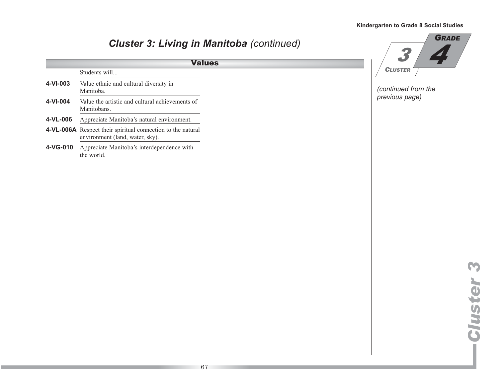#### **4-VI-003** Value ethnic and cultural diversity in Manitoba. **4-VI-004** Value the artistic and cultural achievements of Manitobans. **4-VL-006** Appreciate Manitoba's natural environment. **4-VL-006A** Respect their spiritual connection to the natural environment (land, water, sky). **4-VG-010** Appreciate Manitoba's interdependence with the world. *Cluster 3: Living in Manitoba (continued)* Students will... Values *(continued from the previous page) 4 GRADE 3 CLUSTER*

*Cluster 3*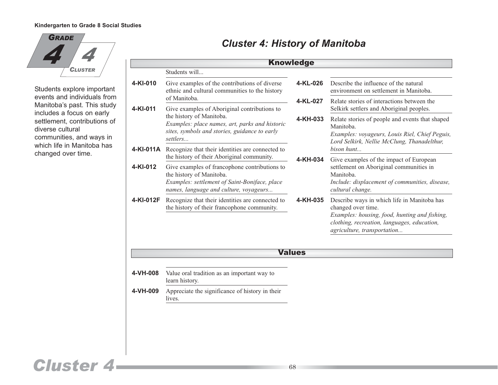

Students explore important events and individuals from Manitoba's past. This study includes a focus on early settlement, contributions of diverse cultural communities, and ways in which life in Manitoba has changed over time.

## *Cluster 4: History of Manitoba*

|           |                                                                                                                                                                      | <b>Knowledge</b> |                                                                                                                                                                                                  |
|-----------|----------------------------------------------------------------------------------------------------------------------------------------------------------------------|------------------|--------------------------------------------------------------------------------------------------------------------------------------------------------------------------------------------------|
|           | Students will                                                                                                                                                        |                  |                                                                                                                                                                                                  |
| 4-KI-010  | Give examples of the contributions of diverse<br>ethnic and cultural communities to the history                                                                      | 4-KL-026         | Describe the influence of the natural<br>environment on settlement in Manitoba.                                                                                                                  |
| 4-KI-011  | of Manitoba.<br>Give examples of Aboriginal contributions to                                                                                                         | 4-KL-027         | Relate stories of interactions between the<br>Selkirk settlers and Aboriginal peoples.                                                                                                           |
|           | the history of Manitoba.<br>Examples: place names, art, parks and historic<br>sites, symbols and stories, guidance to early<br>settlers                              | 4-KH-033         | Relate stories of people and events that shaped<br>Manitoba.<br>Examples: voyageurs, Louis Riel, Chief Peguis,<br>Lord Selkirk, Nellie McClung, Thanadelthur,                                    |
|           | 4-KI-011A Recognize that their identities are connected to<br>the history of their Aboriginal community.                                                             | 4-KH-034         | hison hunt                                                                                                                                                                                       |
| 4-KI-012  | Give examples of francophone contributions to<br>the history of Manitoba.<br>Examples: settlement of Saint-Boniface, place<br>names, language and culture, voyageurs |                  | Give examples of the impact of European<br>settlement on Aboriginal communities in<br>Manitoba.<br>Include: displacement of communities, disease,<br>cultural change.                            |
| 4-KI-012F | Recognize that their identities are connected to<br>the history of their francophone community.                                                                      | 4-KH-035         | Describe ways in which life in Manitoba has<br>changed over time.<br>Examples: housing, food, hunting and fishing,<br>clothing, recreation, languages, education,<br>agriculture, transportation |
|           |                                                                                                                                                                      | <b>Values</b>    |                                                                                                                                                                                                  |
|           |                                                                                                                                                                      |                  |                                                                                                                                                                                                  |
| 4-VH-008  | Value oral tradition as an important way to<br>learn history.                                                                                                        |                  |                                                                                                                                                                                                  |
| 4-VH-009  | Appreciate the significance of history in their<br>lives.                                                                                                            |                  |                                                                                                                                                                                                  |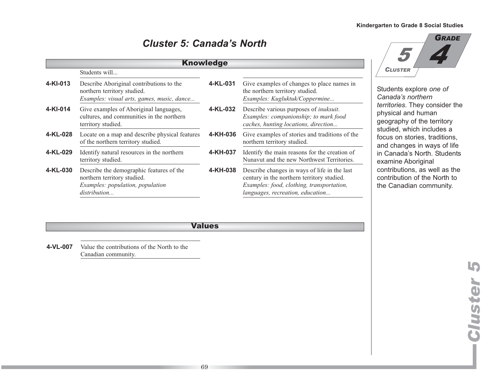### *Cluster 5: Canada's North*

|          |                                                                                                                             | <b>Knowledge</b> |                                                                                                                                                                             |
|----------|-----------------------------------------------------------------------------------------------------------------------------|------------------|-----------------------------------------------------------------------------------------------------------------------------------------------------------------------------|
|          | Students will                                                                                                               |                  |                                                                                                                                                                             |
| 4-KI-013 | Describe Aboriginal contributions to the<br>northern territory studied.<br>Examples: visual arts, games, music, dance       | 4-KL-031         | Give examples of changes to place names in<br>the northern territory studied.<br>Examples: Kugluktuk/Coppermine                                                             |
| 4-KI-014 | Give examples of Aboriginal languages,<br>cultures, and communities in the northern<br>territory studied.                   | 4-KL-032         | Describe various purposes of <i>inuksuit</i> .<br>Examples: companionship; to mark food<br>caches, hunting locations, direction                                             |
| 4-KL-028 | Locate on a map and describe physical features<br>of the northern territory studied.                                        | 4-KH-036         | Give examples of stories and traditions of the<br>northern territory studied.                                                                                               |
| 4-KL-029 | Identify natural resources in the northern<br>territory studied.                                                            | 4-KH-037         | Identify the main reasons for the creation of<br>Nunavut and the new Northwest Territories.                                                                                 |
| 4-KL-030 | Describe the demographic features of the<br>northern territory studied.<br>Examples: population, population<br>distribution | 4-KH-038         | Describe changes in ways of life in the last<br>century in the northern territory studied.<br>Examples: food, clothing, transportation,<br>languages, recreation, education |

#### **Values**

**4-VL-007** Value the contributions of the North to the Canadian community.



nts explore *one* of *Canada's northern* ries. They consider the cal and human aphy of the territory d, which includes a on stories, traditions, hanges in ways of life nada's North. Students ine Aboriginal butions, as well as the bution of the North to anadian community.